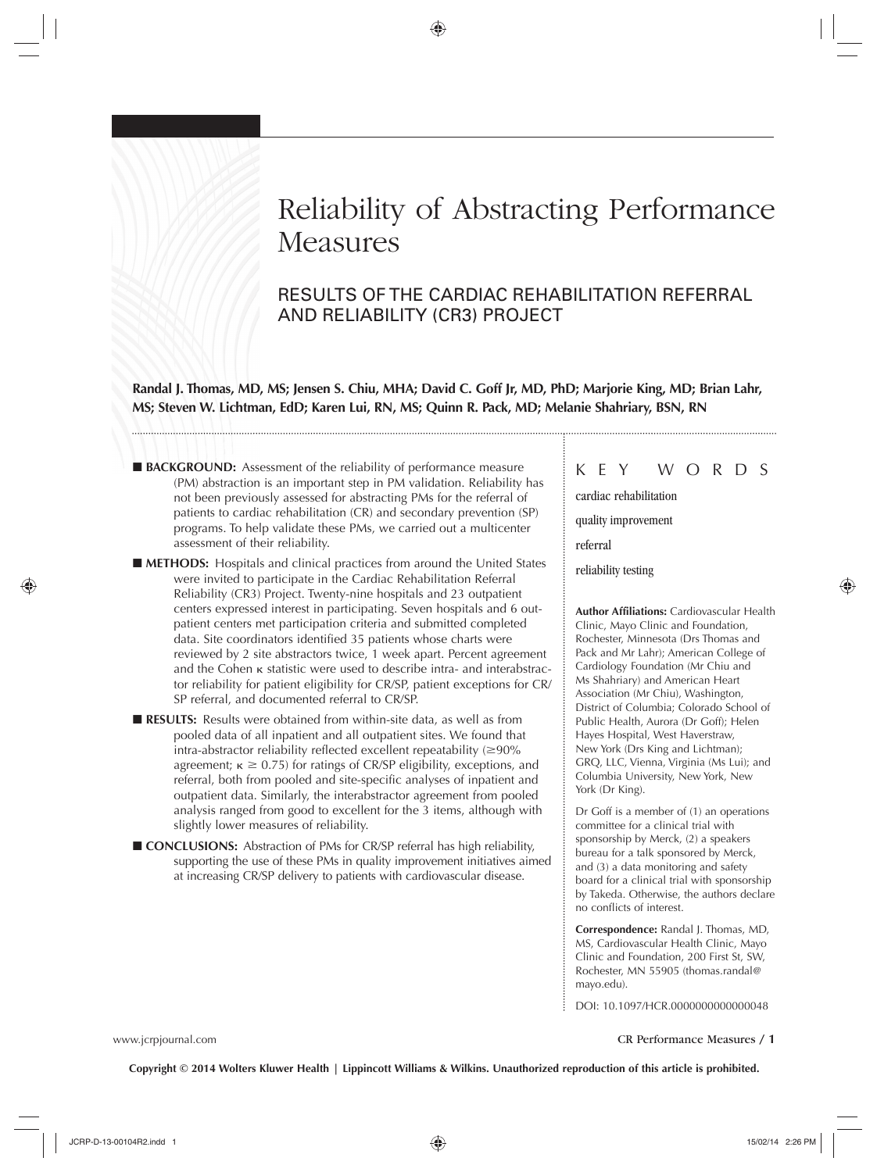# Reliability of Abstracting Performance **Measures**

# RESULTS OF THE CARDIAC REHABILITATION REFERRAL AND RELIABILITY (CR3) PROJECT

Randal J. Thomas, MD, MS; Jensen S. Chiu, MHA; David C. Goff Jr, MD, PhD; Marjorie King, MD; Brian Lahr, **MS; Steven W. Lichtman, EdD; Karen Lui, RN, MS; Quinn R. Pack, MD; Melanie Shahriary, BSN, RN** 

- **BACKGROUND:** Assessment of the reliability of performance measure (PM) abstraction is an important step in PM validation. Reliability has not been previously assessed for abstracting PMs for the referral of patients to cardiac rehabilitation (CR) and secondary prevention (SP) programs. To help validate these PMs, we carried out a multicenter assessment of their reliability.
- **METHODS:** Hospitals and clinical practices from around the United States were invited to participate in the Cardiac Rehabilitation Referral Reliability (CR3) Project. Twenty-nine hospitals and 23 outpatient centers expressed interest in participating. Seven hospitals and 6 outpatient centers met participation criteria and submitted completed data. Site coordinators identified 35 patients whose charts were reviewed by 2 site abstractors twice, 1 week apart. Percent agreement and the Cohen κ statistic were used to describe intra- and interabstractor reliability for patient eligibility for CR/SP, patient exceptions for CR/ SP referral, and documented referral to CR/SP.
- **RESULTS:** Results were obtained from within-site data, as well as from pooled data of all inpatient and all outpatient sites. We found that intra-abstractor reliability reflected excellent repeatability  $(\geq 90\%$ agreement;  $\kappa \geq 0.75$ ) for ratings of CR/SP eligibility, exceptions, and referral, both from pooled and site-specific analyses of inpatient and outpatient data. Similarly, the interabstractor agreement from pooled analysis ranged from good to excellent for the 3 items, although with slightly lower measures of reliability.
- **CONCLUSIONS:** Abstraction of PMs for CR/SP referral has high reliability, supporting the use of these PMs in quality improvement initiatives aimed at increasing CR/SP delivery to patients with cardiovascular disease.

## K E Y W O R D S

 cardiac rehabilitation quality improvement referral

reliability testing

**Author Affiliations:** Cardiovascular Health Clinic, Mayo Clinic and Foundation, Rochester, Minnesota (Drs Thomas and Pack and Mr Lahr); American College of Cardiology Foundation (Mr Chiu and Ms Shahriary) and American Heart Association (Mr Chiu), Washington, District of Columbia; Colorado School of Public Health, Aurora (Dr Goff); Helen Hayes Hospital, West Haverstraw, New York (Drs King and Lichtman); GRQ, LLC, Vienna, Virginia (Ms Lui); and Columbia University, New York, New York (Dr King).

Dr Goff is a member of (1) an operations committee for a clinical trial with sponsorship by Merck, (2) a speakers bureau for a talk sponsored by Merck, and (3) a data monitoring and safety board for a clinical trial with sponsorship by Takeda. Otherwise, the authors declare no conflicts of interest.

**Correspondence:** Randal J. Thomas, MD, MS, Cardiovascular Health Clinic, Mayo Clinic and Foundation, 200 First St, SW, Rochester, MN 55905 (thomas.randal@ mayo.edu).

DOI: 10.1097/HCR.0000000000000048

www.jcrpjournal.com CR Performance Measures / **1**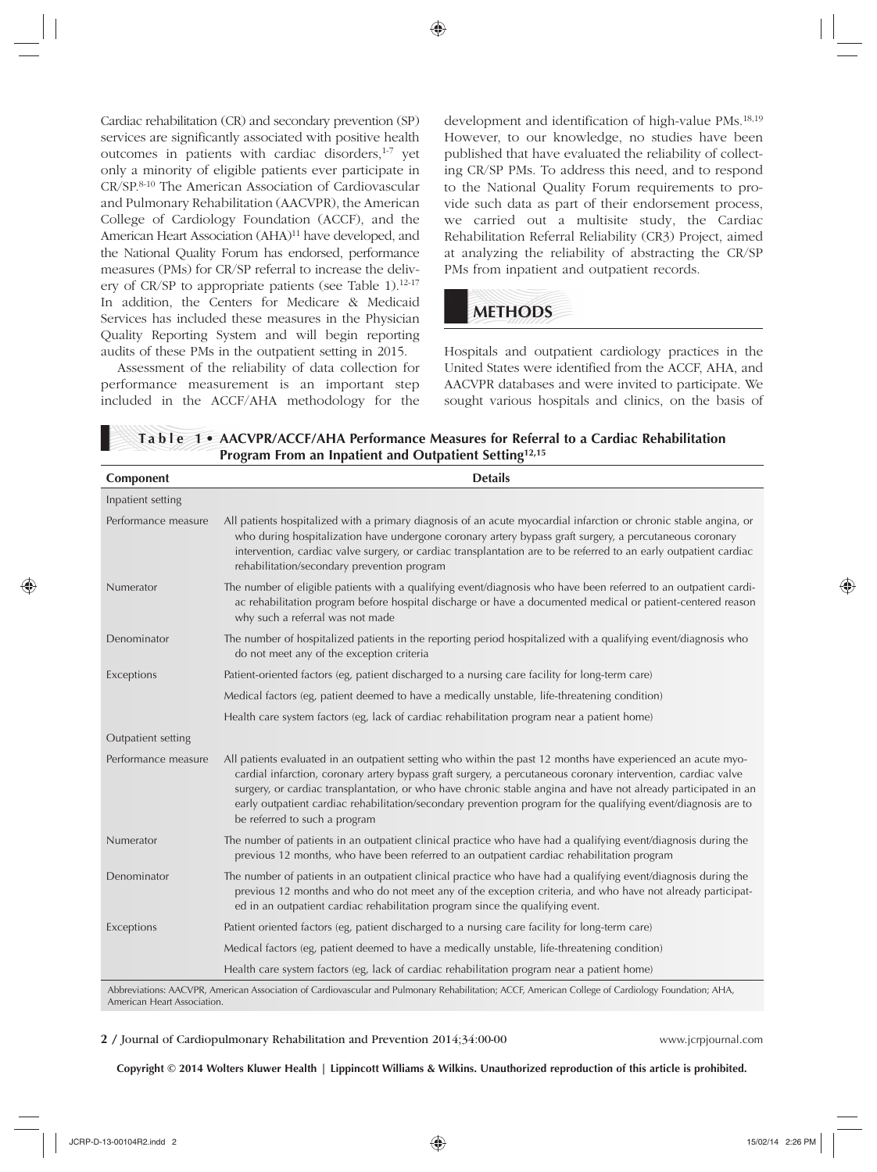Cardiac rehabilitation (CR) and secondary prevention (SP) services are significantly associated with positive health outcomes in patients with cardiac disorders,<sup>1-7</sup> yet only a minority of eligible patients ever participate in CR/SP.<sup>8-10</sup> The American Association of Cardiovascular and Pulmonary Rehabilitation (AACVPR), the American College of Cardiology Foundation (ACCF), and the American Heart Association (AHA)<sup>11</sup> have developed, and the National Quality Forum has endorsed, performance measures (PMs) for CR/SP referral to increase the delivery of  $CR/SP$  to appropriate patients (see Table 1).<sup>12-17</sup> In addition, the Centers for Medicare & Medicaid Services has included these measures in the Physician Quality Reporting System and will begin reporting audits of these PMs in the outpatient setting in 2015.

Assessment of the reliability of data collection for performance measurement is an important step included in the ACCF/AHA methodology for the development and identification of high-value PMs.<sup>18,19</sup> However, to our knowledge, no studies have been published that have evaluated the reliability of collecting CR/SP PMs. To address this need, and to respond to the National Quality Forum requirements to provide such data as part of their endorsement process, we carried out a multisite study, the Cardiac Rehabilitation Referral Reliability (CR3) Project, aimed at analyzing the reliability of abstracting the CR/SP PMs from inpatient and outpatient records.

# **METHODS**

Hospitals and outpatient cardiology practices in the United States were identified from the ACCF, AHA, and AACVPR databases and were invited to participate. We sought various hospitals and clinics, on the basis of

| Program From an Inpatient and Outpatient Setting <sup>12,15</sup> |                                                                                                                                                                                                                                                                                                                                                                                                                                                                                                    |  |  |  |  |
|-------------------------------------------------------------------|----------------------------------------------------------------------------------------------------------------------------------------------------------------------------------------------------------------------------------------------------------------------------------------------------------------------------------------------------------------------------------------------------------------------------------------------------------------------------------------------------|--|--|--|--|
| Component                                                         | <b>Details</b>                                                                                                                                                                                                                                                                                                                                                                                                                                                                                     |  |  |  |  |
| Inpatient setting                                                 |                                                                                                                                                                                                                                                                                                                                                                                                                                                                                                    |  |  |  |  |
| Performance measure                                               | All patients hospitalized with a primary diagnosis of an acute myocardial infarction or chronic stable angina, or<br>who during hospitalization have undergone coronary artery bypass graft surgery, a percutaneous coronary<br>intervention, cardiac valve surgery, or cardiac transplantation are to be referred to an early outpatient cardiac<br>rehabilitation/secondary prevention program                                                                                                   |  |  |  |  |
| Numerator                                                         | The number of eligible patients with a qualifying event/diagnosis who have been referred to an outpatient cardi-<br>ac rehabilitation program before hospital discharge or have a documented medical or patient-centered reason<br>why such a referral was not made                                                                                                                                                                                                                                |  |  |  |  |
| Denominator                                                       | The number of hospitalized patients in the reporting period hospitalized with a qualifying event/diagnosis who<br>do not meet any of the exception criteria                                                                                                                                                                                                                                                                                                                                        |  |  |  |  |
| Exceptions                                                        | Patient-oriented factors (eg, patient discharged to a nursing care facility for long-term care)                                                                                                                                                                                                                                                                                                                                                                                                    |  |  |  |  |
|                                                                   | Medical factors (eg, patient deemed to have a medically unstable, life-threatening condition)                                                                                                                                                                                                                                                                                                                                                                                                      |  |  |  |  |
|                                                                   | Health care system factors (eg, lack of cardiac rehabilitation program near a patient home)                                                                                                                                                                                                                                                                                                                                                                                                        |  |  |  |  |
| Outpatient setting                                                |                                                                                                                                                                                                                                                                                                                                                                                                                                                                                                    |  |  |  |  |
| Performance measure                                               | All patients evaluated in an outpatient setting who within the past 12 months have experienced an acute myo-<br>cardial infarction, coronary artery bypass graft surgery, a percutaneous coronary intervention, cardiac valve<br>surgery, or cardiac transplantation, or who have chronic stable angina and have not already participated in an<br>early outpatient cardiac rehabilitation/secondary prevention program for the qualifying event/diagnosis are to<br>be referred to such a program |  |  |  |  |
| Numerator                                                         | The number of patients in an outpatient clinical practice who have had a qualifying event/diagnosis during the<br>previous 12 months, who have been referred to an outpatient cardiac rehabilitation program                                                                                                                                                                                                                                                                                       |  |  |  |  |
| Denominator                                                       | The number of patients in an outpatient clinical practice who have had a qualifying event/diagnosis during the<br>previous 12 months and who do not meet any of the exception criteria, and who have not already participat-<br>ed in an outpatient cardiac rehabilitation program since the qualifying event.                                                                                                                                                                                     |  |  |  |  |
| Exceptions                                                        | Patient oriented factors (eg, patient discharged to a nursing care facility for long-term care)                                                                                                                                                                                                                                                                                                                                                                                                    |  |  |  |  |
|                                                                   | Medical factors (eg, patient deemed to have a medically unstable, life-threatening condition)                                                                                                                                                                                                                                                                                                                                                                                                      |  |  |  |  |
|                                                                   | Health care system factors (eg, lack of cardiac rehabilitation program near a patient home)                                                                                                                                                                                                                                                                                                                                                                                                        |  |  |  |  |
|                                                                   | $\lambda$ , i.e., i.e., i.e., i.e., i.e., i.e., i.e., i.e., $\lambda$ , $CCE$ , $\lambda$ , $\lambda$ , $C = \frac{1}{2}$ , $C = \frac{1}{2}$ , $\lambda$ , $\lambda$                                                                                                                                                                                                                                                                                                                              |  |  |  |  |

**Table 1 • AACVPR/ACCF/AHA Performance Measures for Referral to a Cardiac Rehabilitation** 

Abbreviations: AACVPR, American Association of Cardiovascular and Pulmonary Rehabilitation; ACCF, American College of Cardiology Foundation; AHA, American Heart Association.

#### **2** / Journal of Cardiopulmonary Rehabilitation and Prevention 2014;34:00-00 www.jcrpjournal.com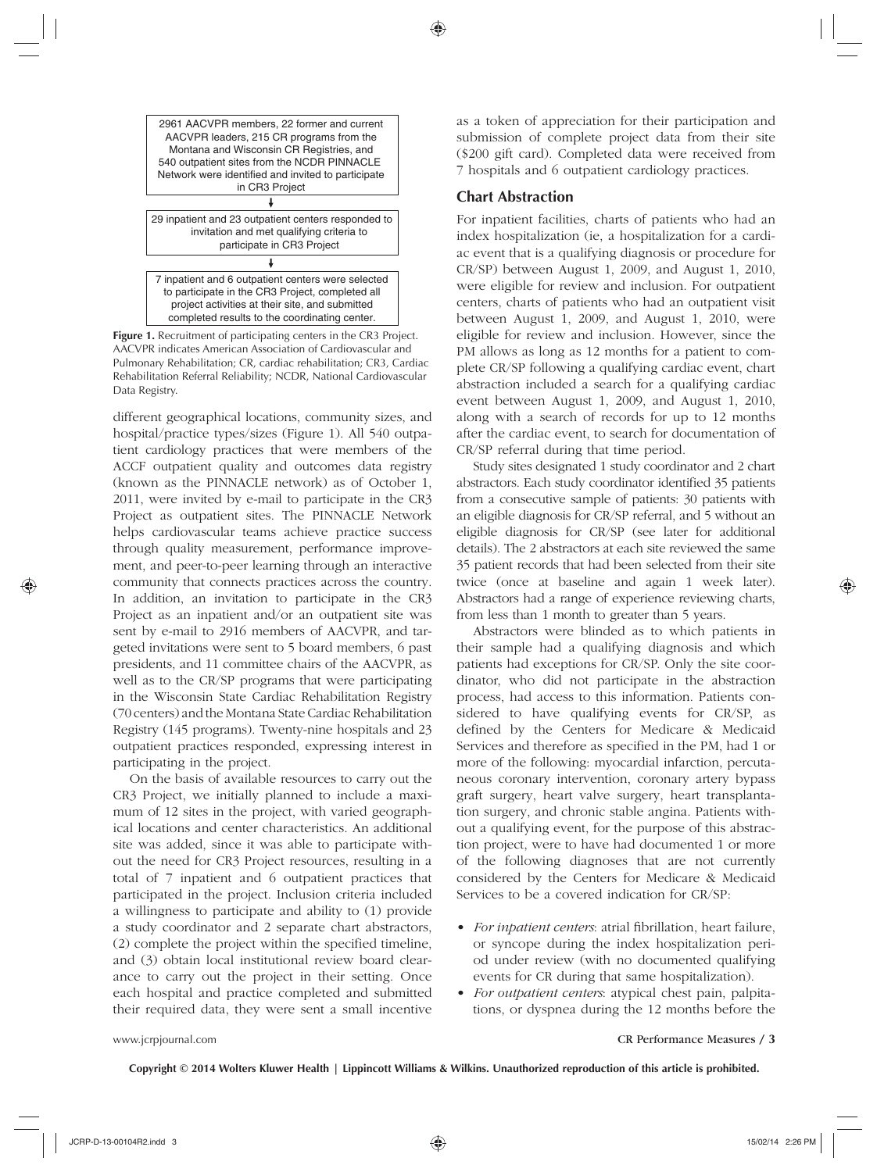

**Figure 1.** Recruitment of participating centers in the CR3 Project. AACVPR indicates American Association of Cardiovascular and Pulmonary Rehabilitation; CR, cardiac rehabilitation; CR3, Cardiac Rehabilitation Referral Reliability; NCDR, National Cardiovascular Data Registry.

different geographical locations, community sizes, and hospital/practice types/sizes (Figure 1). All 540 outpatient cardiology practices that were members of the ACCF outpatient quality and outcomes data registry (known as the PINNACLE network) as of October 1, 2011, were invited by e-mail to participate in the CR3 Project as outpatient sites. The PINNACLE Network helps cardiovascular teams achieve practice success through quality measurement, performance improvement, and peer-to-peer learning through an interactive community that connects practices across the country. In addition, an invitation to participate in the CR3 Project as an inpatient and/or an outpatient site was sent by e-mail to 2916 members of AACVPR, and targeted invitations were sent to 5 board members, 6 past presidents, and 11 committee chairs of the AACVPR, as well as to the CR/SP programs that were participating in the Wisconsin State Cardiac Rehabilitation Registry (70 centers) and the Montana State Cardiac Rehabilitation Registry (145 programs). Twenty-nine hospitals and 23 outpatient practices responded, expressing interest in participating in the project.

On the basis of available resources to carry out the CR3 Project, we initially planned to include a maximum of 12 sites in the project, with varied geographical locations and center characteristics. An additional site was added, since it was able to participate without the need for CR3 Project resources, resulting in a total of 7 inpatient and 6 outpatient practices that participated in the project. Inclusion criteria included a willingness to participate and ability to (1) provide a study coordinator and 2 separate chart abstractors, (2) complete the project within the specified timeline, and (3) obtain local institutional review board clearance to carry out the project in their setting. Once each hospital and practice completed and submitted their required data, they were sent a small incentive

as a token of appreciation for their participation and submission of complete project data from their site (\$200 gift card). Completed data were received from 7 hospitals and 6 outpatient cardiology practices.

#### **Chart Abstraction**

For inpatient facilities, charts of patients who had an index hospitalization (ie, a hospitalization for a cardiac event that is a qualifying diagnosis or procedure for CR/SP) between August 1, 2009, and August 1, 2010, were eligible for review and inclusion. For outpatient centers, charts of patients who had an outpatient visit between August 1, 2009, and August 1, 2010, were eligible for review and inclusion. However, since the PM allows as long as 12 months for a patient to complete CR/SP following a qualifying cardiac event, chart abstraction included a search for a qualifying cardiac event between August 1, 2009, and August 1, 2010, along with a search of records for up to 12 months after the cardiac event, to search for documentation of CR/SP referral during that time period.

Study sites designated 1 study coordinator and 2 chart abstractors. Each study coordinator identified 35 patients from a consecutive sample of patients: 30 patients with an eligible diagnosis for CR/SP referral, and 5 without an eligible diagnosis for CR/SP (see later for additional details). The 2 abstractors at each site reviewed the same 35 patient records that had been selected from their site twice (once at baseline and again 1 week later). Abstractors had a range of experience reviewing charts, from less than 1 month to greater than 5 years.

Abstractors were blinded as to which patients in their sample had a qualifying diagnosis and which patients had exceptions for CR/SP. Only the site coordinator, who did not participate in the abstraction process, had access to this information. Patients considered to have qualifying events for CR/SP, as defined by the Centers for Medicare & Medicaid Services and therefore as specified in the PM, had 1 or more of the following: myocardial infarction, percutaneous coronary intervention, coronary artery bypass graft surgery, heart valve surgery, heart transplantation surgery, and chronic stable angina. Patients without a qualifying event, for the purpose of this abstraction project, were to have had documented 1 or more of the following diagnoses that are not currently considered by the Centers for Medicare & Medicaid Services to be a covered indication for CR/SP:

- *For inpatient centers:* atrial fibrillation, heart failure, or syncope during the index hospitalization period under review (with no documented qualifying events for CR during that same hospitalization).
- *For outpatient centers*: atypical chest pain, palpitations, or dyspnea during the 12 months before the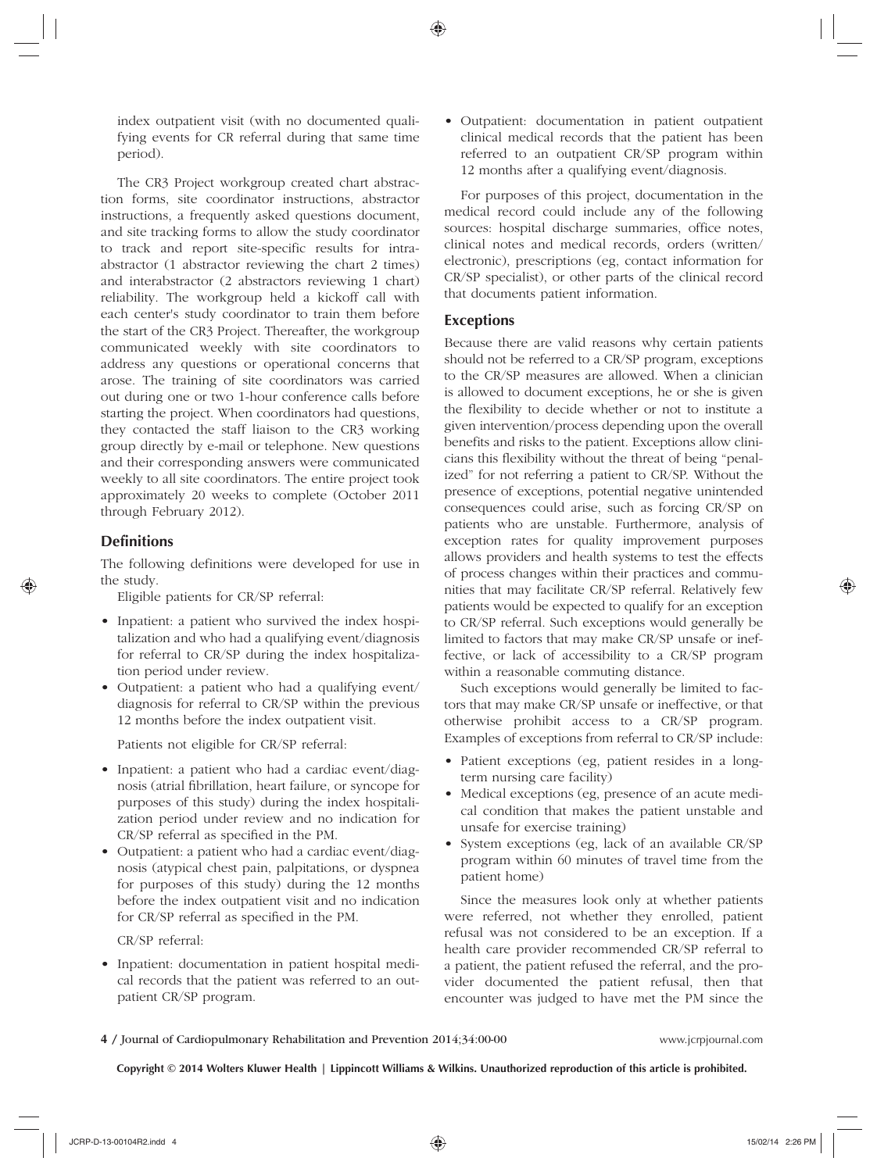index outpatient visit (with no documented qualifying events for CR referral during that same time period).

The CR3 Project workgroup created chart abstraction forms, site coordinator instructions, abstractor instructions, a frequently asked questions document, and site tracking forms to allow the study coordinator to track and report site-specific results for intraabstractor (1 abstractor reviewing the chart 2 times) and interabstractor (2 abstractors reviewing 1 chart) reliability. The workgroup held a kickoff call with each center's study coordinator to train them before the start of the CR3 Project. Thereafter, the workgroup communicated weekly with site coordinators to address any questions or operational concerns that arose. The training of site coordinators was carried out during one or two 1-hour conference calls before starting the project. When coordinators had questions, they contacted the staff liaison to the CR3 working group directly by e-mail or telephone. New questions and their corresponding answers were communicated weekly to all site coordinators. The entire project took approximately 20 weeks to complete (October 2011 through February 2012).

#### **Definitions**

The following definitions were developed for use in the study.

Eligible patients for CR/SP referral:

- Inpatient: a patient who survived the index hospitalization and who had a qualifying event/diagnosis for referral to CR/SP during the index hospitalization period under review.
- Outpatient: a patient who had a qualifying event/ diagnosis for referral to CR/SP within the previous 12 months before the index outpatient visit.

Patients not eligible for CR/SP referral:

- Inpatient: a patient who had a cardiac event/diagnosis (atrial fibrillation, heart failure, or syncope for purposes of this study) during the index hospitalization period under review and no indication for CR/SP referral as specified in the PM.
- Outpatient: a patient who had a cardiac event/diagnosis (atypical chest pain, palpitations, or dyspnea for purposes of this study) during the 12 months before the index outpatient visit and no indication for CR/SP referral as specified in the PM.

CR/SP referral:

• Inpatient: documentation in patient hospital medical records that the patient was referred to an outpatient CR/SP program.

• Outpatient: documentation in patient outpatient clinical medical records that the patient has been referred to an outpatient CR/SP program within 12 months after a qualifying event/diagnosis.

For purposes of this project, documentation in the medical record could include any of the following sources: hospital discharge summaries, office notes, clinical notes and medical records, orders (written/ electronic), prescriptions (eg, contact information for CR/SP specialist), or other parts of the clinical record that documents patient information.

#### **Exceptions**

Because there are valid reasons why certain patients should not be referred to a CR/SP program, exceptions to the CR/SP measures are allowed. When a clinician is allowed to document exceptions, he or she is given the flexibility to decide whether or not to institute a given intervention/process depending upon the overall benefits and risks to the patient. Exceptions allow clinicians this flexibility without the threat of being "penalized" for not referring a patient to CR/SP. Without the presence of exceptions, potential negative unintended consequences could arise, such as forcing CR/SP on patients who are unstable. Furthermore, analysis of exception rates for quality improvement purposes allows providers and health systems to test the effects of process changes within their practices and communities that may facilitate CR/SP referral. Relatively few patients would be expected to qualify for an exception to CR/SP referral. Such exceptions would generally be limited to factors that may make CR/SP unsafe or ineffective, or lack of accessibility to a CR/SP program within a reasonable commuting distance.

Such exceptions would generally be limited to factors that may make CR/SP unsafe or ineffective, or that otherwise prohibit access to a CR/SP program. Examples of exceptions from referral to CR/SP include:

- Patient exceptions (eg, patient resides in a longterm nursing care facility)
- Medical exceptions (eg, presence of an acute medical condition that makes the patient unstable and unsafe for exercise training)
- System exceptions (eg, lack of an available CR/SP) program within 60 minutes of travel time from the patient home)

Since the measures look only at whether patients were referred, not whether they enrolled, patient refusal was not considered to be an exception. If a health care provider recommended CR/SP referral to a patient, the patient refused the referral, and the provider documented the patient refusal, then that encounter was judged to have met the PM since the

**4** / Journal of Cardiopulmonary Rehabilitation and Prevention 2014;34:00-00 www.jcrpjournal.com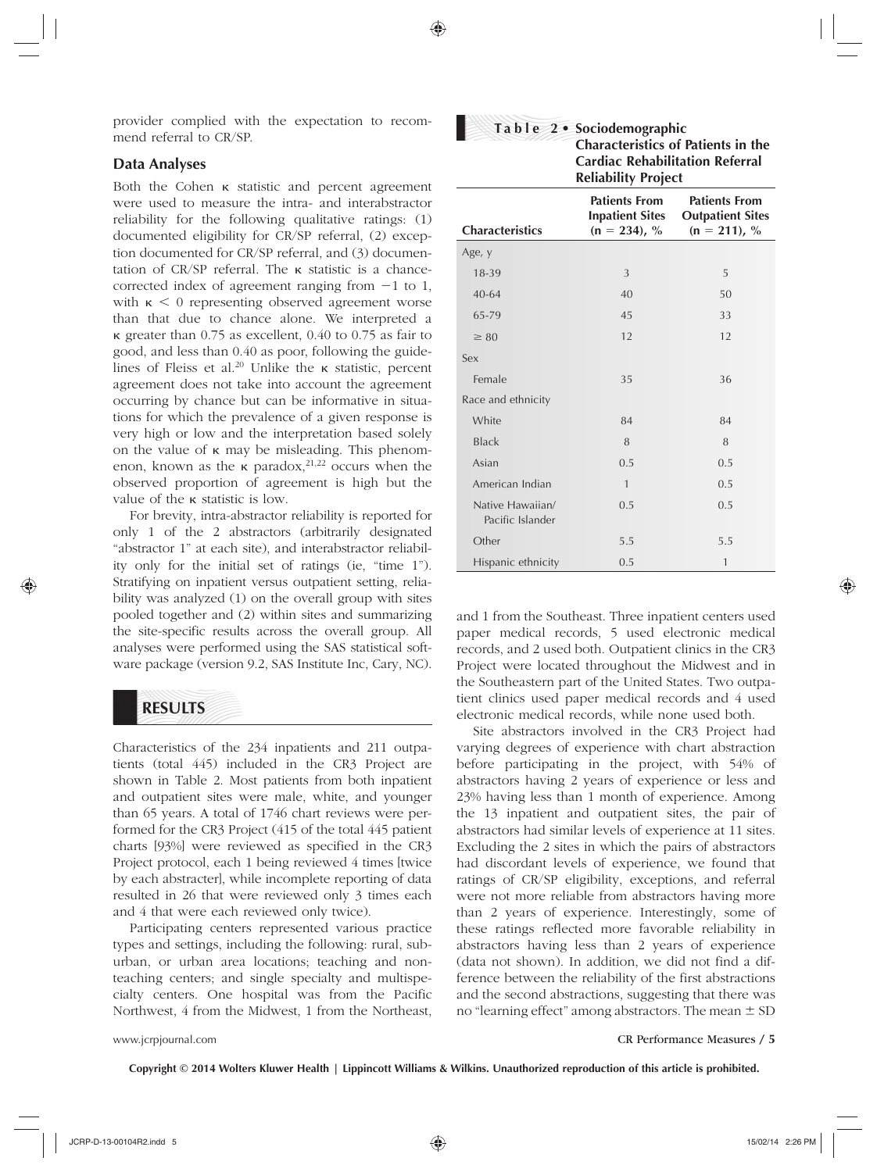provider complied with the expectation to recommend referral to CR/SP.

#### **Data Analyses**

Both the Cohen κ statistic and percent agreement were used to measure the intra- and interabstractor reliability for the following qualitative ratings: (1) documented eligibility for CR/SP referral, (2) exception documented for CR/SP referral, and (3) documentation of CR/SP referral. The κ statistic is a chancecorrected index of agreement ranging from −1 to 1, with  $\kappa$  < 0 representing observed agreement worse than that due to chance alone. We interpreted a κ greater than 0.75 as excellent, 0.40 to 0.75 as fair to good, and less than 0.40 as poor, following the guidelines of Fleiss et al.<sup>20</sup> Unlike the  $\kappa$  statistic, percent agreement does not take into account the agreement occurring by chance but can be informative in situations for which the prevalence of a given response is very high or low and the interpretation based solely on the value of κ may be misleading. This phenomenon, known as the  $\kappa$  paradox, <sup>21,22</sup> occurs when the observed proportion of agreement is high but the value of the κ statistic is low.

For brevity, intra-abstractor reliability is reported for only 1 of the 2 abstractors (arbitrarily designated "abstractor 1" at each site), and interabstractor reliability only for the initial set of ratings (ie, "time 1"). Stratifying on inpatient versus outpatient setting, reliability was analyzed (1) on the overall group with sites pooled together and (2) within sites and summarizing the site-specific results across the overall group. All analyses were performed using the SAS statistical software package (version 9.2, SAS Institute Inc, Cary, NC).

## **RESULTS**

Characteristics of the 234 inpatients and 211 outpatients (total 445) included in the CR3 Project are shown in Table 2. Most patients from both inpatient and outpatient sites were male, white, and younger than 65 years. A total of 1746 chart reviews were performed for the CR3 Project (415 of the total 445 patient charts [93%] were reviewed as specified in the CR3 Project protocol, each 1 being reviewed 4 times [twice by each abstracter], while incomplete reporting of data resulted in 26 that were reviewed only 3 times each and 4 that were each reviewed only twice).

Participating centers represented various practice types and settings, including the following: rural, suburban, or urban area locations; teaching and nonteaching centers; and single specialty and multispecialty centers. One hospital was from the Pacific Northwest, 4 from the Midwest, 1 from the Northeast,

|                 | Table 2 • Sociodemographic<br><b>Characteristics of Patients in the</b><br><b>Cardiac Rehabilitation Referral</b><br><b>Reliability Project</b> |                                                                    |  |  |
|-----------------|-------------------------------------------------------------------------------------------------------------------------------------------------|--------------------------------------------------------------------|--|--|
| Characteristics | Patients From<br><b>Inpatient Sites</b><br>$(n = 234)$ , %                                                                                      | <b>Patients From</b><br><b>Outpatient Sites</b><br>$(n = 211)$ , % |  |  |
| Age, y          |                                                                                                                                                 |                                                                    |  |  |
| 18-39           | 3                                                                                                                                               | 5                                                                  |  |  |
| $40 - 64$       | 40                                                                                                                                              | 50                                                                 |  |  |
| 65-79           | 45                                                                                                                                              | 33                                                                 |  |  |
| $\geq$ 80       | 12                                                                                                                                              | 12                                                                 |  |  |
| Sex             |                                                                                                                                                 |                                                                    |  |  |
| Female          | 35                                                                                                                                              | 36                                                                 |  |  |

White 84 84 Black 8 8 8 Asian 0.5 0.5 0.5 American Indian 1 0.5

Other 5.5 5.5 5.5 Hispanic ethnicity 0.5 1

Race and ethnicity

 Native Hawaiian/ Pacific Islander

and 1 from the Southeast. Three inpatient centers used paper medical records, 5 used electronic medical records, and 2 used both. Outpatient clinics in the CR3 Project were located throughout the Midwest and in the Southeastern part of the United States. Two outpatient clinics used paper medical records and 4 used electronic medical records, while none used both.

0.5 0.5

Site abstractors involved in the CR3 Project had varying degrees of experience with chart abstraction before participating in the project, with 54% of abstractors having 2 years of experience or less and 23% having less than 1 month of experience. Among the 13 inpatient and outpatient sites, the pair of abstractors had similar levels of experience at 11 sites. Excluding the 2 sites in which the pairs of abstractors had discordant levels of experience, we found that ratings of CR/SP eligibility, exceptions, and referral were not more reliable from abstractors having more than 2 years of experience. Interestingly, some of these ratings reflected more favorable reliability in abstractors having less than 2 years of experience (data not shown). In addition, we did not find a difference between the reliability of the first abstractions and the second abstractions, suggesting that there was no "learning effect" among abstractors. The mean  $\pm$  SD

www.jcrpjournal.com CR Performance Measures / **5**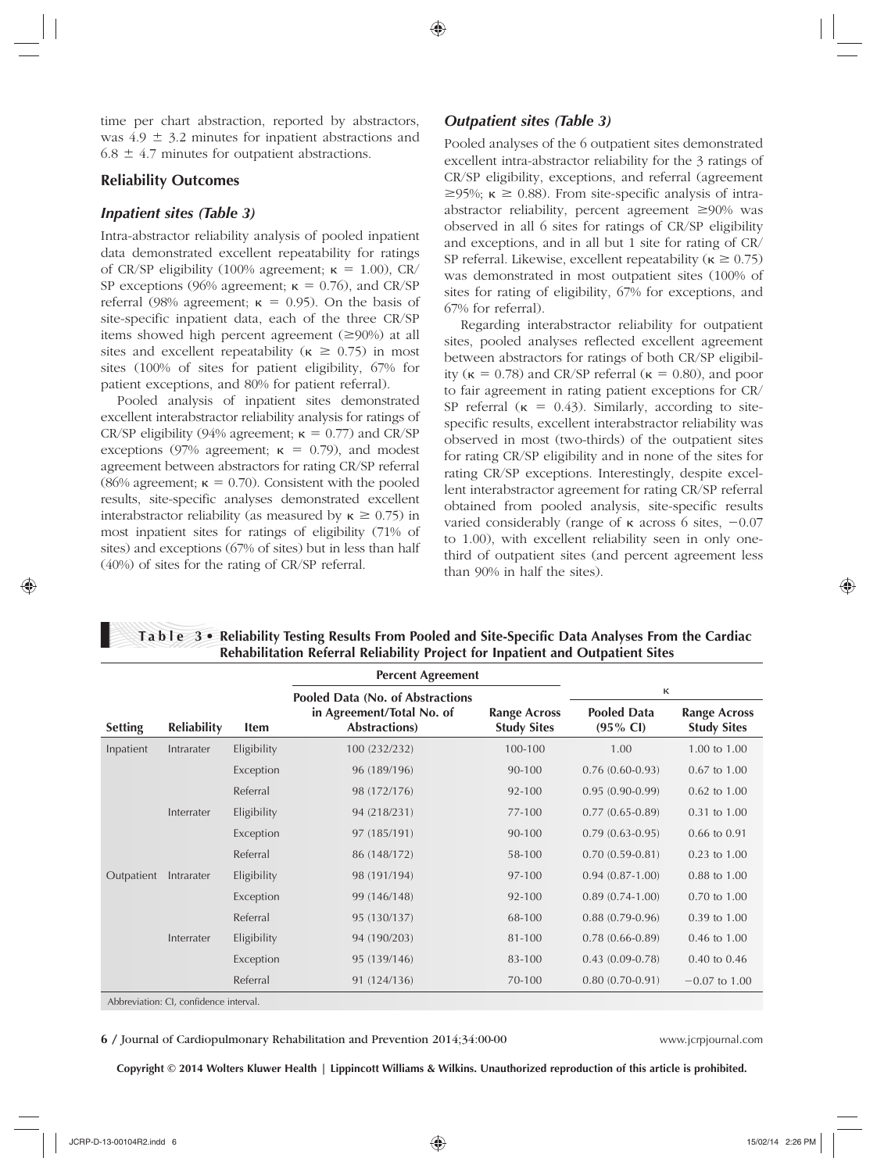time per chart abstraction, reported by abstractors, was  $4.9 \pm 3.2$  minutes for inpatient abstractions and  $6.8 \pm 4.7$  minutes for outpatient abstractions.

#### **Reliability Outcomes**

#### *Inpatient sites (Table 3)*

Intra-abstractor reliability analysis of pooled inpatient data demonstrated excellent repeatability for ratings of CR/SP eligibility (100% agreement;  $\kappa = 1.00$ ), CR/ SP exceptions (96% agreement;  $\kappa = 0.76$ ), and CR/SP referral (98% agreement;  $\kappa = 0.95$ ). On the basis of site-specific inpatient data, each of the three CR/SP items showed high percent agreement  $(\geq 90\%)$  at all sites and excellent repeatability ( $\kappa \ge 0.75$ ) in most sites (100% of sites for patient eligibility, 67% for patient exceptions, and 80% for patient referral).

Pooled analysis of inpatient sites demonstrated excellent interabstractor reliability analysis for ratings of CR/SP eligibility (94% agreement;  $\kappa = 0.77$ ) and CR/SP exceptions (97% agreement;  $\kappa = 0.79$ ), and modest agreement between abstractors for rating CR/SP referral (86% agreement;  $\kappa = 0.70$ ). Consistent with the pooled results, site-specific analyses demonstrated excellent interabstractor reliability (as measured by κ ≥ 0.75) in most inpatient sites for ratings of eligibility (71% of sites) and exceptions (67% of sites) but in less than half (40%) of sites for the rating of CR/SP referral.

#### **Outpatient sites (Table 3)**

Pooled analyses of the 6 outpatient sites demonstrated excellent intra-abstractor reliability for the 3 ratings of CR/SP eligibility, exceptions, and referral (agreement  $\geq$ 95%;  $\kappa \geq$  0.88). From site-specific analysis of intraabstractor reliability, percent agreement ≥90% was observed in all 6 sites for ratings of CR/SP eligibility and exceptions, and in all but 1 site for rating of CR/ SP referral. Likewise, excellent repeatability ( $\kappa \ge 0.75$ ) was demonstrated in most outpatient sites (100% of sites for rating of eligibility, 67% for exceptions, and 67% for referral).

Regarding interabstractor reliability for outpatient sites, pooled analyses reflected excellent agreement between abstractors for ratings of both CR/SP eligibility ( $\kappa = 0.78$ ) and CR/SP referral ( $\kappa = 0.80$ ), and poor to fair agreement in rating patient exceptions for CR/ SP referral  $(\kappa = 0.43)$ . Similarly, according to sitespecific results, excellent interabstractor reliability was observed in most (two-thirds) of the outpatient sites for rating CR/SP eligibility and in none of the sites for rating CR/SP exceptions. Interestingly, despite excellent interabstractor agreement for rating CR/SP referral obtained from pooled analysis, site-specific results varied considerably (range of κ across 6 sites, −0.07 to 1.00), with excellent reliability seen in only onethird of outpatient sites (and percent agreement less than 90% in half the sites).

|                |                    |             | <b>Percent Agreement</b>                   |                                           |                                           |                                           |
|----------------|--------------------|-------------|--------------------------------------------|-------------------------------------------|-------------------------------------------|-------------------------------------------|
|                |                    |             | Pooled Data (No. of Abstractions           |                                           | к                                         |                                           |
| <b>Setting</b> | <b>Reliability</b> | Item        | in Agreement/Total No. of<br>Abstractions) | <b>Range Across</b><br><b>Study Sites</b> | <b>Pooled Data</b><br>$(95\% \text{ Cl})$ | <b>Range Across</b><br><b>Study Sites</b> |
| Inpatient      | Intrarater         | Eligibility | 100 (232/232)                              | 100-100                                   | 1.00                                      | 1.00 to 1.00                              |
|                |                    | Exception   | 96 (189/196)                               | 90-100                                    | $0.76(0.60-0.93)$                         | 0.67 to 1.00                              |
|                |                    | Referral    | 98 (172/176)                               | 92-100                                    | $0.95(0.90-0.99)$                         | 0.62 to 1.00                              |
|                | Interrater         | Eligibility | 94 (218/231)                               | 77-100                                    | $0.77(0.65-0.89)$                         | 0.31 to 1.00                              |
|                |                    | Exception   | 97 (185/191)                               | 90-100                                    | $0.79(0.63-0.95)$                         | 0.66 to 0.91                              |
|                |                    | Referral    | 86 (148/172)                               | 58-100                                    | $0.70(0.59-0.81)$                         | 0.23 to 1.00                              |
| Outpatient     | Intrarater         | Eligibility | 98 (191/194)                               | 97-100                                    | $0.94(0.87-1.00)$                         | 0.88 to 1.00                              |
|                |                    | Exception   | 99 (146/148)                               | 92-100                                    | $0.89(0.74-1.00)$                         | 0.70 to 1.00                              |
|                |                    | Referral    | 95 (130/137)                               | 68-100                                    | $0.88(0.79-0.96)$                         | 0.39 to 1.00                              |
|                | Interrater         | Eligibility | 94 (190/203)                               | 81-100                                    | $0.78(0.66-0.89)$                         | 0.46 to 1.00                              |
|                |                    | Exception   | 95 (139/146)                               | 83-100                                    | $0.43(0.09-0.78)$                         | 0.40 to 0.46                              |
|                |                    | Referral    | 91 (124/136)                               | 70-100                                    | $0.80(0.70-0.91)$                         | $-0.07$ to 1.00                           |

**Table 3 • Reliability Testing Results From Pooled and Site-Specific Data Analyses From the Cardiac Rehabilitation Referral Reliability Project for Inpatient and Outpatient Sites** 

Abbreviation: CI, confidence interval.

**6** / Journal of Cardiopulmonary Rehabilitation and Prevention 2014;34:00-00 www.jcrpjournal.com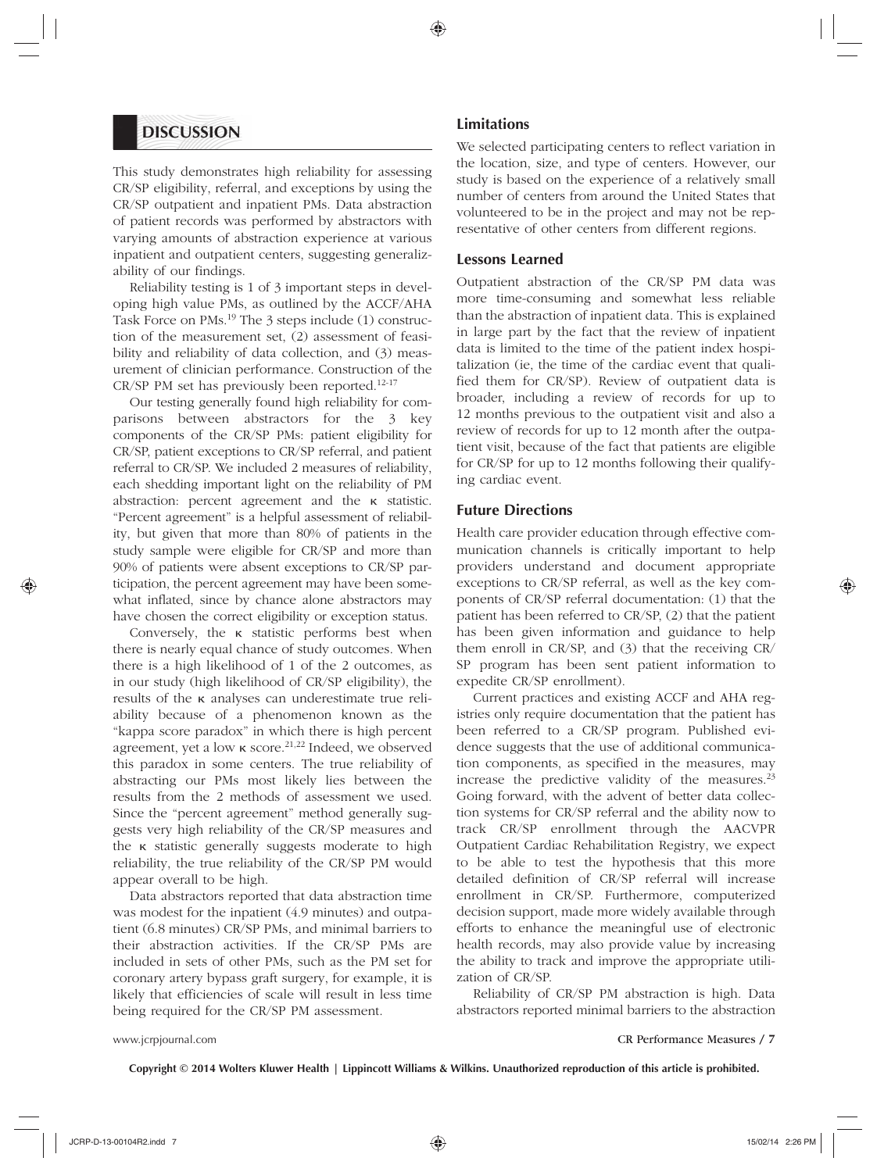### **DISCUSSION**

This study demonstrates high reliability for assessing CR/SP eligibility, referral, and exceptions by using the CR/SP outpatient and inpatient PMs. Data abstraction of patient records was performed by abstractors with varying amounts of abstraction experience at various inpatient and outpatient centers, suggesting generalizability of our findings.

Reliability testing is 1 of 3 important steps in developing high value PMs, as outlined by the ACCF/AHA Task Force on PMs.<sup>19</sup> The 3 steps include (1) construction of the measurement set, (2) assessment of feasibility and reliability of data collection, and (3) measurement of clinician performance. Construction of the CR/SP PM set has previously been reported.<sup>12-17</sup>

Our testing generally found high reliability for comparisons between abstractors for the 3 key components of the CR/SP PMs: patient eligibility for CR/SP, patient exceptions to CR/SP referral, and patient referral to CR/SP. We included 2 measures of reliability, each shedding important light on the reliability of PM abstraction: percent agreement and the κ statistic. "Percent agreement" is a helpful assessment of reliability, but given that more than 80% of patients in the study sample were eligible for CR/SP and more than 90% of patients were absent exceptions to CR/SP participation, the percent agreement may have been somewhat inflated, since by chance alone abstractors may have chosen the correct eligibility or exception status.

Conversely, the κ statistic performs best when there is nearly equal chance of study outcomes. When there is a high likelihood of 1 of the 2 outcomes, as in our study (high likelihood of CR/SP eligibility), the results of the κ analyses can underestimate true reliability because of a phenomenon known as the "kappa score paradox" in which there is high percent agreement, yet a low κ score.<sup>21,22</sup> Indeed, we observed this paradox in some centers. The true reliability of abstracting our PMs most likely lies between the results from the 2 methods of assessment we used. Since the "percent agreement" method generally suggests very high reliability of the CR/SP measures and the κ statistic generally suggests moderate to high reliability, the true reliability of the CR/SP PM would appear overall to be high.

Data abstractors reported that data abstraction time was modest for the inpatient (4.9 minutes) and outpatient (6.8 minutes) CR/SP PMs, and minimal barriers to their abstraction activities. If the CR/SP PMs are included in sets of other PMs, such as the PM set for coronary artery bypass graft surgery, for example, it is likely that efficiencies of scale will result in less time being required for the CR/SP PM assessment.

#### **Limitations**

We selected participating centers to reflect variation in the location, size, and type of centers. However, our study is based on the experience of a relatively small number of centers from around the United States that volunteered to be in the project and may not be representative of other centers from different regions.

#### **Lessons Learned**

Outpatient abstraction of the CR/SP PM data was more time-consuming and somewhat less reliable than the abstraction of inpatient data. This is explained in large part by the fact that the review of inpatient data is limited to the time of the patient index hospitalization (ie, the time of the cardiac event that qualified them for CR/SP). Review of outpatient data is broader, including a review of records for up to 12 months previous to the outpatient visit and also a review of records for up to 12 month after the outpatient visit, because of the fact that patients are eligible for CR/SP for up to 12 months following their qualifying cardiac event.

#### **Future Directions**

Health care provider education through effective communication channels is critically important to help providers understand and document appropriate exceptions to CR/SP referral, as well as the key components of CR/SP referral documentation: (1) that the patient has been referred to CR/SP, (2) that the patient has been given information and guidance to help them enroll in CR/SP, and (3) that the receiving CR/ SP program has been sent patient information to expedite CR/SP enrollment).

Current practices and existing ACCF and AHA registries only require documentation that the patient has been referred to a CR/SP program. Published evidence suggests that the use of additional communication components, as specified in the measures, may increase the predictive validity of the measures. $23$ Going forward, with the advent of better data collection systems for CR/SP referral and the ability now to track CR/SP enrollment through the AACVPR Outpatient Cardiac Rehabilitation Registry, we expect to be able to test the hypothesis that this more detailed definition of CR/SP referral will increase enrollment in CR/SP. Furthermore, computerized decision support, made more widely available through efforts to enhance the meaningful use of electronic health records, may also provide value by increasing the ability to track and improve the appropriate utilization of CR/SP.

Reliability of CR/SP PM abstraction is high. Data abstractors reported minimal barriers to the abstraction

www.jcrpjournal.com CR Performance Measures / **7**